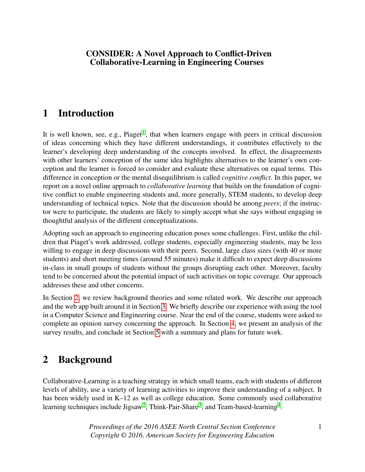#### CONSIDER: A Novel Approach to Conflict-Driven Collaborative-Learning in Engineering Courses

# 1 Introduction

It is well known, see, e.g., Piaget<sup>[1](#page-7-0)</sup>, that when learners engage with peers in critical discussion of ideas concerning which they have different understandings, it contributes effectively to the learner's developing deep understanding of the concepts involved. In effect, the disagreements with other learners' conception of the same idea highlights alternatives to the learner's own conception and the learner is forced to consider and evaluate these alternatives on equal terms. This difference in conception or the mental disequilibrium is called *cognitive conflict*. In this paper, we report on a novel online approach to *collaborative learning* that builds on the foundation of cognitive conflict to enable engineering students and, more generally, STEM students, to develop deep understanding of technical topics. Note that the discussion should be among *peers*; if the instructor were to participate, the students are likely to simply accept what she says without engaging in thoughtful analysis of the different conceptualizations.

Adopting such an approach to engineering education poses some challenges. First, unlike the children that Piaget's work addressed, college students, especially engineering students, may be less willing to engage in deep discussions with their peers. Second, large class sizes (with 40 or more students) and short meeting times (around 55 minutes) make it difficult to expect deep discussions in-class in small groups of students without the groups disrupting each other. Moreover, faculty tend to be concerned about the potential impact of such activities on topic coverage. Our approach addresses these and other concerns.

In Section [2,](#page-0-0) we review background theories and some related work. We describe our approach and the web app built around it in Section [3.](#page-1-0) We briefly describe our experience with using the tool in a Computer Science and Engineering course. Near the end of the course, students were asked to complete an opinion survey concerning the approach. In Section [4,](#page-4-0) we present an analysis of the survey results, and conclude in Section [5](#page-6-0) with a summary and plans for future work.

## <span id="page-0-0"></span>2 Background

Collaborative-Learning is a teaching strategy in which small teams, each with students of different levels of ability, use a variety of learning activities to improve their understanding of a subject. It has been widely used in K–12 as well as college education. Some commonly used collaborative learning techniques include Jigsaw<sup>[2](#page-7-1)</sup>, Think-Pair-Share<sup>[3](#page-7-2)</sup>, and Team-based-learning<sup>[4](#page-7-3)</sup>.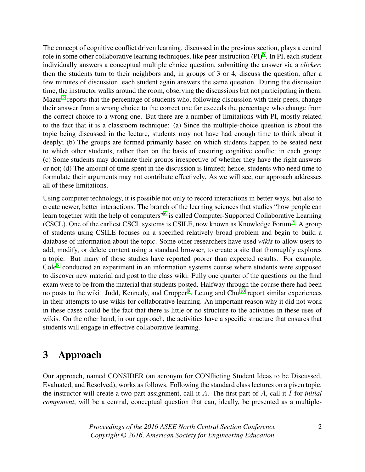The concept of cognitive conflict driven learning, discussed in the previous section, plays a central role in some other collaborative learning techniques, like peer-instruction (PI)<sup>[5](#page-7-4)</sup>. In PI, each student individually answers a conceptual multiple choice question, submitting the answer via a *clicker*; then the students turn to their neighbors and, in groups of 3 or 4, discuss the question; after a few minutes of discussion, each student again answers the same question. During the discussion time, the instructor walks around the room, observing the discussions but not participating in them. Mazur<sup>[5](#page-7-4)</sup> reports that the percentage of students who, following discussion with their peers, change their answer from a wrong choice to the correct one far exceeds the percentage who change from the correct choice to a wrong one. But there are a number of limitations with PI, mostly related to the fact that it is a classroom technique: (a) Since the multiple-choice question is about the topic being discussed in the lecture, students may not have had enough time to think about it deeply; (b) The groups are formed primarily based on which students happen to be seated next to which other students, rather than on the basis of ensuring cognitive conflict in each group; (c) Some students may dominate their groups irrespective of whether they have the right answers or not; (d) The amount of time spent in the discussion is limited; hence, students who need time to formulate their arguments may not contribute effectively. As we will see, our approach addresses all of these limitations.

Using computer technology, it is possible not only to record interactions in better ways, but also to create newer, better interactions. The branch of the learning sciences that studies "how people can learn together with the help of computers"<sup>[6](#page-7-5)</sup> is called Computer-Supported Collaborative Learning (CSCL). One of the earliest CSCL systems is CSILE, now known as Knowledge Forum<sup>[7](#page-7-6)</sup>. A group of students using CSILE focuses on a specified relatively broad problem and begin to build a database of information about the topic. Some other researchers have used *wikis* to allow users to add, modify, or delete content using a standard browser, to create a site that thoroughly explores a topic. But many of those studies have reported poorer than expected results. For example, Cole $8$  conducted an experiment in an information systems course where students were supposed to discover new material and post to the class wiki. Fully one quarter of the questions on the final exam were to be from the material that students posted. Halfway through the course there had been no posts to the wiki! Judd, Kennedy, and Cropper<sup>[9](#page-7-8)</sup>, Leung and Chu<sup>[10](#page-7-9)</sup> report similar experiences in their attempts to use wikis for collaborative learning. An important reason why it did not work in these cases could be the fact that there is little or no structure to the activities in these uses of wikis. On the other hand, in our approach, the activities have a specific structure that ensures that students will engage in effective collaborative learning.

## <span id="page-1-0"></span>3 Approach

Our approach, named CONSIDER (an acronym for CONflicting Student Ideas to be Discussed, Evaluated, and Resolved), works as follows. Following the standard class lectures on a given topic, the instructor will create a two-part assignment, call it A. The first part of A, call it I for *initial component*, will be a central, conceptual question that can, ideally, be presented as a multiple-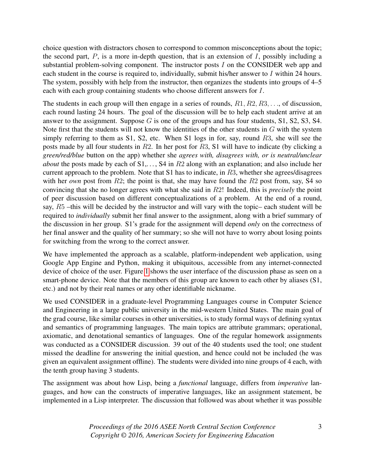choice question with distractors chosen to correspond to common misconceptions about the topic; the second part,  $P$ , is a more in-depth question, that is an extension of  $I$ , possibly including a substantial problem-solving component. The instructor posts I on the CONSIDER web app and each student in the course is required to, individually, submit his/her answer to I within 24 hours. The system, possibly with help from the instructor, then organizes the students into groups of 4–5 each with each group containing students who choose different answers for I.

The students in each group will then engage in a series of rounds,  $R_1, R_2, R_3, \ldots$ , of discussion, each round lasting 24 hours. The goal of the discussion will be to help each student arrive at an answer to the assignment. Suppose  $G$  is one of the groups and has four students,  $S1$ ,  $S2$ ,  $S3$ ,  $S4$ . Note first that the students will not know the identities of the other students in G with the system simply referring to them as S1, S2, etc. When S1 logs in for, say, round R3, she will see the posts made by all four students in R2. In her post for R3, S1 will have to indicate (by clicking a *green/red/blue* button on the app) whether she *agrees with, disagrees with, or is neutral/unclear about* the posts made by each of S1,..., S4 in R2 along with an explanation; and also include her current approach to the problem. Note that S1 has to indicate, in R3, whether she agrees/disagrees with her *own* post from  $R2$ ; the point is that, she may have found the  $R2$  post from, say, S4 so convincing that she no longer agrees with what she said in R2! Indeed, this is *precisely* the point of peer discussion based on different conceptualizations of a problem. At the end of a round, say, R5 –this will be decided by the instructor and will vary with the topic– each student will be required to *individually* submit her final answer to the assignment, along with a brief summary of the discussion in her group. S1's grade for the assignment will depend *only* on the correctness of her final answer and the quality of her summary; so she will not have to worry about losing points for switching from the wrong to the correct answer.

We have implemented the approach as a scalable, platform-independent web application, using Google App Engine and Python, making it ubiquitous, accessible from any internet-connected device of choice of the user. Figure [1](#page-3-0) shows the user interface of the discussion phase as seen on a smart-phone device. Note that the members of this group are known to each other by aliases (S1, etc.) and not by their real names or any other identifiable nickname.

We used CONSIDER in a graduate-level Programming Languages course in Computer Science and Engineering in a large public university in the mid-western United States. The main goal of the grad course, like similar courses in other universities, is to study formal ways of defining syntax and semantics of programming languages. The main topics are attribute grammars; operational, axiomatic, and denotational semantics of languages. One of the regular homework assignments was conducted as a CONSIDER discussion. 39 out of the 40 students used the tool; one student missed the deadline for answering the initial question, and hence could not be included (he was given an equivalent assignment offline). The students were divided into nine groups of 4 each, with the tenth group having 3 students.

The assignment was about how Lisp, being a *functional* language, differs from *imperative* languages, and how can the constructs of imperative languages, like an assignment statement, be implemented in a Lisp interpreter. The discussion that followed was about whether it was possible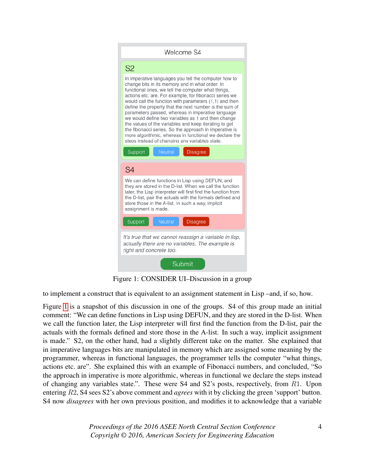<span id="page-3-0"></span>

Figure 1: CONSIDER UI–Discussion in a group

to implement a construct that is equivalent to an assignment statement in Lisp –and, if so, how.

Figure [1](#page-3-0) is a snapshot of this discussion in one of the groups. S4 of this group made an initial comment: "We can define functions in Lisp using DEFUN, and they are stored in the D-list. When we call the function later, the Lisp interpreter will first find the function from the D-list, pair the actuals with the formals defined and store those in the A-list. In such a way, implicit assignment is made." S2, on the other hand, had a slightly different take on the matter. She explained that in imperative languages bits are manipulated in memory which are assigned some meaning by the programmer, whereas in functional languages, the programmer tells the computer "what things, actions etc. are". She explained this with an example of Fibonacci numbers, and concluded, "So the approach in imperative is more algorithmic, whereas in functional we declare the steps instead of changing any variables state.". These were S4 and S2's posts, respectively, from R1. Upon entering R2, S4 sees S2's above comment and *agrees* with it by clicking the green 'support' button. S4 now *disagrees* with her own previous position, and modifies it to acknowledge that a variable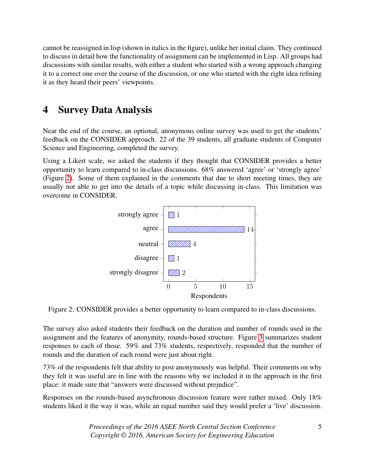cannot be reassigned in lisp (shown in italics in the figure), unlike her initial claim. They continued to discuss in detail how the functionality of assignment can be implemented in Lisp. All groups had discussions with similar results, with either a student who started with a wrong approach changing it to a correct one over the course of the discussion, or one who started with the right idea refining it as they heard their peers' viewpoints.

# <span id="page-4-0"></span>4 Survey Data Analysis

Near the end of the course, an optional, anonymous online survey was used to get the students' feedback on the CONSIDER approach. 22 of the 39 students, all graduate students of Computer Science and Engineering, completed the survey.

<span id="page-4-1"></span>Using a Likert scale, we asked the students if they thought that CONSIDER provides a better opportunity to learn compared to in-class discussions. 68% answered 'agree' or 'strongly agree' (Figure [2\)](#page-4-1). Some of them explained in the comments that due to short meeting times, they are usually not able to get into the details of a topic while discussing in-class. This limitation was overcome in CONSIDER.



Figure 2: CONSIDER provides a better opportunity to learn compared to in-class discussions.

The survey also asked students their feedback on the duration and number of rounds used in the assignment and the features of anonymity, rounds-based structure. Figure [3](#page-5-0) summarizes student responses to each of those. 59% and 73% students, respectively, responded that the number of rounds and the duration of each round were just about right.

73% of the respondents felt that ability to post anonymously was helpful. Their comments on why they felt it was useful are in line with the reasons why we included it in the approach in the first place: it made sure that "answers were discussed without prejudice".

Responses on the rounds-based asynchronous discussion feature were rather mixed. Only 18% students liked it the way it was, while an equal number said they would prefer a 'live' discussion.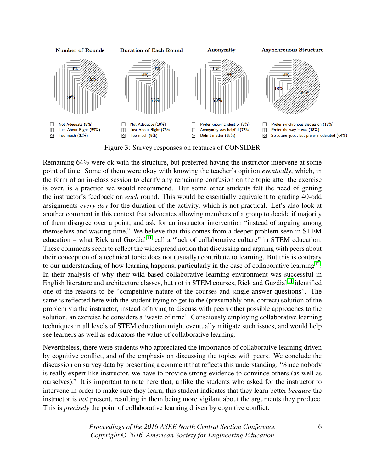<span id="page-5-0"></span>

Figure 3: Survey responses on features of CONSIDER

Remaining 64% were ok with the structure, but preferred having the instructor intervene at some point of time. Some of them were okay with knowing the teacher's opinion *eventually*, which, in the form of an in-class session to clarify any remaining confusion on the topic after the exercise is over, is a practice we would recommend. But some other students felt the need of getting the instructor's feedback on *each* round. This would be essentially equivalent to grading 40-odd assignments *every day* for the duration of the activity, which is not practical. Let's also look at another comment in this context that advocates allowing members of a group to decide if majority of them disagree over a point, and ask for an instructor intervention "instead of arguing among themselves and wasting time." We believe that this comes from a deeper problem seen in STEM education – what Rick and Guzdial<sup>[11](#page-7-10)</sup> call a "lack of collaborative culture" in STEM education. These comments seem to reflect the widespread notion that discussing and arguing with peers about their conception of a technical topic does not (usually) contribute to learning. But this is contrary to our understanding of how learning happens, particularly in the case of collaborative learning<sup>[12](#page-7-11)</sup>. In their analysis of why their wiki-based collaborative learning environment was successful in English literature and architecture classes, but not in STEM courses, Rick and Guzdial [11](#page-7-10) identified one of the reasons to be "competitive nature of the courses and single answer questions". The same is reflected here with the student trying to get to the (presumably one, correct) solution of the problem via the instructor, instead of trying to discuss with peers other possible approaches to the solution, an exercise he considers a 'waste of time'. Consciously employing collaborative learning techniques in all levels of STEM education might eventually mitigate such issues, and would help see learners as well as educators the value of collaborative learning.

Nevertheless, there were students who appreciated the importance of collaborative learning driven by cognitive conflict, and of the emphasis on discussing the topics with peers. We conclude the discussion on survey data by presenting a comment that reflects this understanding: "Since nobody is really expert like instructor, we have to provide strong evidence to convince others (as well as ourselves)." It is important to note here that, unlike the students who asked for the instructor to intervene in order to make sure they learn, this student indicates that they learn better *because* the instructor is *not* present, resulting in them being more vigilant about the arguments they produce. This is *precisely* the point of collaborative learning driven by cognitive conflict.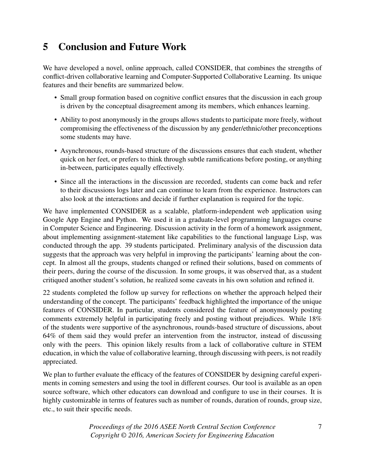# <span id="page-6-0"></span>5 Conclusion and Future Work

We have developed a novel, online approach, called CONSIDER, that combines the strengths of conflict-driven collaborative learning and Computer-Supported Collaborative Learning. Its unique features and their benefits are summarized below.

- Small group formation based on cognitive conflict ensures that the discussion in each group is driven by the conceptual disagreement among its members, which enhances learning.
- Ability to post anonymously in the groups allows students to participate more freely, without compromising the effectiveness of the discussion by any gender/ethnic/other preconceptions some students may have.
- Asynchronous, rounds-based structure of the discussions ensures that each student, whether quick on her feet, or prefers to think through subtle ramifications before posting, or anything in-between, participates equally effectively.
- Since all the interactions in the discussion are recorded, students can come back and refer to their discussions logs later and can continue to learn from the experience. Instructors can also look at the interactions and decide if further explanation is required for the topic.

We have implemented CONSIDER as a scalable, platform-independent web application using Google App Engine and Python. We used it in a graduate-level programming languages course in Computer Science and Engineering. Discussion activity in the form of a homework assignment, about implementing assignment-statement like capabilities to the functional language Lisp, was conducted through the app. 39 students participated. Preliminary analysis of the discussion data suggests that the approach was very helpful in improving the participants' learning about the concept. In almost all the groups, students changed or refined their solutions, based on comments of their peers, during the course of the discussion. In some groups, it was observed that, as a student critiqued another student's solution, he realized some caveats in his own solution and refined it.

22 students completed the follow up survey for reflections on whether the approach helped their understanding of the concept. The participants' feedback highlighted the importance of the unique features of CONSIDER. In particular, students considered the feature of anonymously posting comments extremely helpful in participating freely and posting without prejudices. While 18% of the students were supportive of the asynchronous, rounds-based structure of discussions, about 64% of them said they would prefer an intervention from the instructor, instead of discussing only with the peers. This opinion likely results from a lack of collaborative culture in STEM education, in which the value of collaborative learning, through discussing with peers, is not readily appreciated.

We plan to further evaluate the efficacy of the features of CONSIDER by designing careful experiments in coming semesters and using the tool in different courses. Our tool is available as an open source software, which other educators can download and configure to use in their courses. It is highly customizable in terms of features such as number of rounds, duration of rounds, group size, etc., to suit their specific needs.